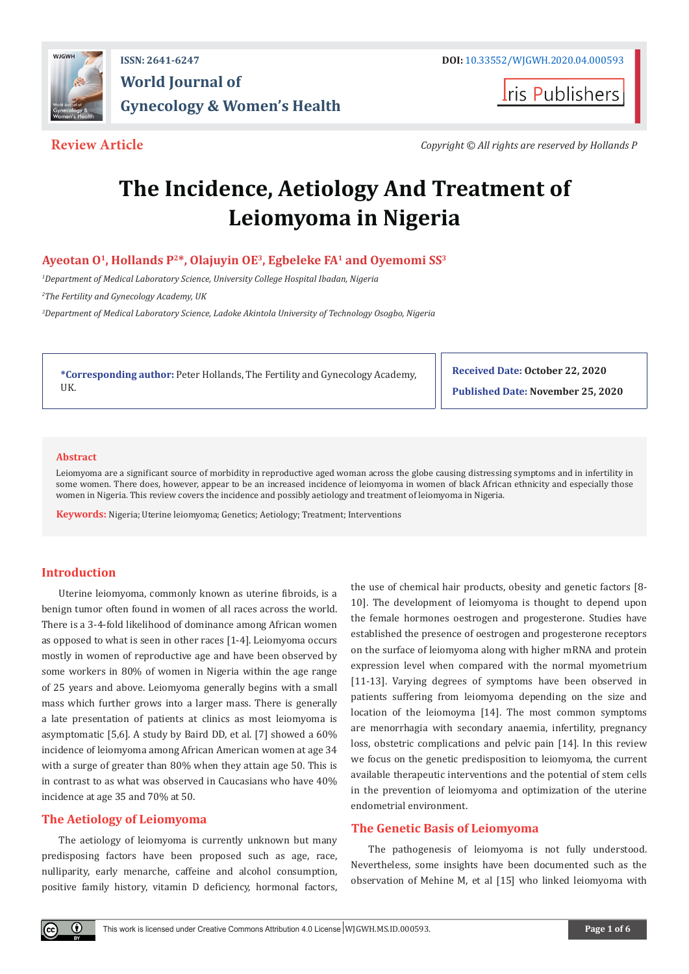

**I**ris Publishers

**Review Article** *Copyright © All rights are reserved by Hollands P*

# **The Incidence, Aetiology And Treatment of Leiomyoma in Nigeria**

# **Ayeotan O1, Hollands P2\*, Olajuyin OE3, Egbeleke FA1 and Oyemomi SS3**

<sup>1</sup>Department of Medical Laboratory Science, University College Hospital Ibadan, Nigeria

*2 The Fertility and Gynecology Academy, UK* 

*3 Department of Medical Laboratory Science, Ladoke Akintola University of Technology Osogbo, Nigeria* 

**\*Corresponding author:** Peter Hollands, The Fertility and Gynecology Academy, UK.

**Received Date: October 22, 2020**

**Published Date: November 25, 2020**

#### **Abstract**

Leiomyoma are a significant source of morbidity in reproductive aged woman across the globe causing distressing symptoms and in infertility in some women. There does, however, appear to be an increased incidence of leiomyoma in women of black African ethnicity and especially those women in Nigeria. This review covers the incidence and possibly aetiology and treatment of leiomyoma in Nigeria.

**Keywords:** Nigeria; Uterine leiomyoma; Genetics; Aetiology; Treatment; Interventions

## **Introduction**

Uterine leiomyoma, commonly known as uterine fibroids, is a benign tumor often found in women of all races across the world. There is a 3-4-fold likelihood of dominance among African women as opposed to what is seen in other races [1-4]. Leiomyoma occurs mostly in women of reproductive age and have been observed by some workers in 80% of women in Nigeria within the age range of 25 years and above. Leiomyoma generally begins with a small mass which further grows into a larger mass. There is generally a late presentation of patients at clinics as most leiomyoma is asymptomatic [5,6]. A study by Baird DD, et al. [7] showed a 60% incidence of leiomyoma among African American women at age 34 with a surge of greater than 80% when they attain age 50. This is in contrast to as what was observed in Caucasians who have 40% incidence at age 35 and 70% at 50.

# **The Aetiology of Leiomyoma**

 $^\circledR$ 

The aetiology of leiomyoma is currently unknown but many predisposing factors have been proposed such as age, race, nulliparity, early menarche, caffeine and alcohol consumption, positive family history, vitamin D deficiency, hormonal factors,

the use of chemical hair products, obesity and genetic factors [8- 10]. The development of leiomyoma is thought to depend upon the female hormones oestrogen and progesterone. Studies have established the presence of oestrogen and progesterone receptors on the surface of leiomyoma along with higher mRNA and protein expression level when compared with the normal myometrium [11-13]. Varying degrees of symptoms have been observed in patients suffering from leiomyoma depending on the size and location of the leiomoyma [14]. The most common symptoms are menorrhagia with secondary anaemia, infertility, pregnancy loss, obstetric complications and pelvic pain [14]. In this review we focus on the genetic predisposition to leiomyoma, the current available therapeutic interventions and the potential of stem cells in the prevention of leiomyoma and optimization of the uterine endometrial environment.

# **The Genetic Basis of Leiomyoma**

The pathogenesis of leiomyoma is not fully understood. Nevertheless, some insights have been documented such as the observation of Mehine M, et al [15] who linked leiomyoma with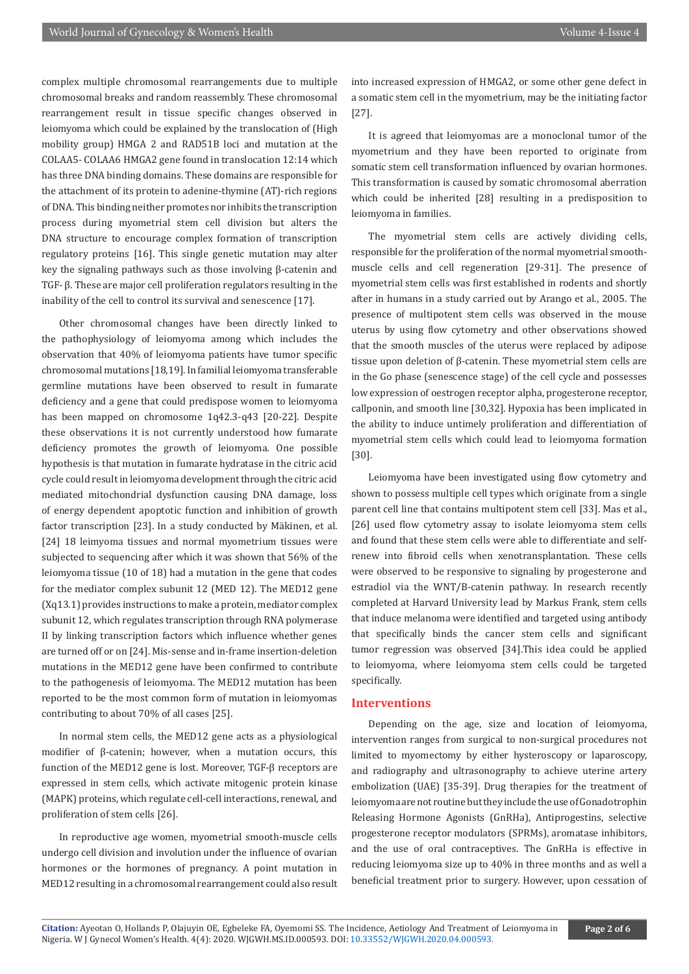complex multiple chromosomal rearrangements due to multiple chromosomal breaks and random reassembly. These chromosomal rearrangement result in tissue specific changes observed in leiomyoma which could be explained by the translocation of (High mobility group) HMGA 2 and RAD51B loci and mutation at the COLAA5- COLAA6 HMGA2 gene found in translocation 12:14 which has three DNA binding domains. These domains are responsible for the attachment of its protein to adenine-thymine (AT)-rich regions of DNA. This binding neither promotes nor inhibits the transcription process during myometrial stem cell division but alters the DNA structure to encourage complex formation of transcription regulatory proteins [16]. This single genetic mutation may alter key the signaling pathways such as those involving β-catenin and TGF- β. These are major cell proliferation regulators resulting in the inability of the cell to control its survival and senescence [17].

Other chromosomal changes have been directly linked to the pathophysiology of leiomyoma among which includes the observation that 40% of leiomyoma patients have tumor specific chromosomal mutations [18,19]. In familial leiomyoma transferable germline mutations have been observed to result in fumarate deficiency and a gene that could predispose women to leiomyoma has been mapped on chromosome 1q42.3-q43 [20-22]. Despite these observations it is not currently understood how fumarate deficiency promotes the growth of leiomyoma. One possible hypothesis is that mutation in fumarate hydratase in the citric acid cycle could result in leiomyoma development through the citric acid mediated mitochondrial dysfunction causing DNA damage, loss of energy dependent apoptotic function and inhibition of growth factor transcription [23]. In a study conducted by Mäkinen, et al. [24] 18 leimyoma tissues and normal myometrium tissues were subjected to sequencing after which it was shown that 56% of the leiomyoma tissue (10 of 18) had a mutation in the gene that codes for the mediator complex subunit 12 (MED 12). The MED12 gene (Xq13.1) provides instructions to make a protein, mediator complex subunit 12, which regulates transcription through RNA polymerase II by linking transcription factors which influence whether genes are turned off or on [24]. Mis-sense and in-frame insertion-deletion mutations in the MED12 gene have been confirmed to contribute to the pathogenesis of leiomyoma. The MED12 mutation has been reported to be the most common form of mutation in leiomyomas contributing to about 70% of all cases [25].

In normal stem cells, the MED12 gene acts as a physiological modifier of β-catenin; however, when a mutation occurs, this function of the MED12 gene is lost. Moreover, TGF-β receptors are expressed in stem cells, which activate mitogenic protein kinase (MAPK) proteins, which regulate cell-cell interactions, renewal, and proliferation of stem cells [26].

In reproductive age women, myometrial smooth-muscle cells undergo cell division and involution under the influence of ovarian hormones or the hormones of pregnancy. A point mutation in MED12 resulting in a chromosomal rearrangement could also result

into increased expression of HMGA2, or some other gene defect in a somatic stem cell in the myometrium, may be the initiating factor [27].

It is agreed that leiomyomas are a monoclonal tumor of the myometrium and they have been reported to originate from somatic stem cell transformation influenced by ovarian hormones. This transformation is caused by somatic chromosomal aberration which could be inherited [28] resulting in a predisposition to leiomyoma in families.

The myometrial stem cells are actively dividing cells, responsible for the proliferation of the normal myometrial smoothmuscle cells and cell regeneration [29-31]. The presence of myometrial stem cells was first established in rodents and shortly after in humans in a study carried out by Arango et al., 2005. The presence of multipotent stem cells was observed in the mouse uterus by using flow cytometry and other observations showed that the smooth muscles of the uterus were replaced by adipose tissue upon deletion of β-catenin. These myometrial stem cells are in the Go phase (senescence stage) of the cell cycle and possesses low expression of oestrogen receptor alpha, progesterone receptor, callponin, and smooth line [30,32]. Hypoxia has been implicated in the ability to induce untimely proliferation and differentiation of myometrial stem cells which could lead to leiomyoma formation [30].

Leiomyoma have been investigated using flow cytometry and shown to possess multiple cell types which originate from a single parent cell line that contains multipotent stem cell [33]. Mas et al., [26] used flow cytometry assay to isolate leiomyoma stem cells and found that these stem cells were able to differentiate and selfrenew into fibroid cells when xenotransplantation. These cells were observed to be responsive to signaling by progesterone and estradiol via the WNT/B-catenin pathway. In research recently completed at Harvard University lead by Markus Frank, stem cells that induce melanoma were identified and targeted using antibody that specifically binds the cancer stem cells and significant tumor regression was observed [34].This idea could be applied to leiomyoma, where leiomyoma stem cells could be targeted specifically.

#### **Interventions**

Depending on the age, size and location of leiomyoma, intervention ranges from surgical to non-surgical procedures not limited to myomectomy by either hysteroscopy or laparoscopy, and radiography and ultrasonography to achieve uterine artery embolization (UAE) [35-39]. Drug therapies for the treatment of leiomyoma are not routine but they include the use of Gonadotrophin Releasing Hormone Agonists (GnRHa), Antiprogestins, selective progesterone receptor modulators (SPRMs), aromatase inhibitors, and the use of oral contraceptives. The GnRHa is effective in reducing leiomyoma size up to 40% in three months and as well a beneficial treatment prior to surgery. However, upon cessation of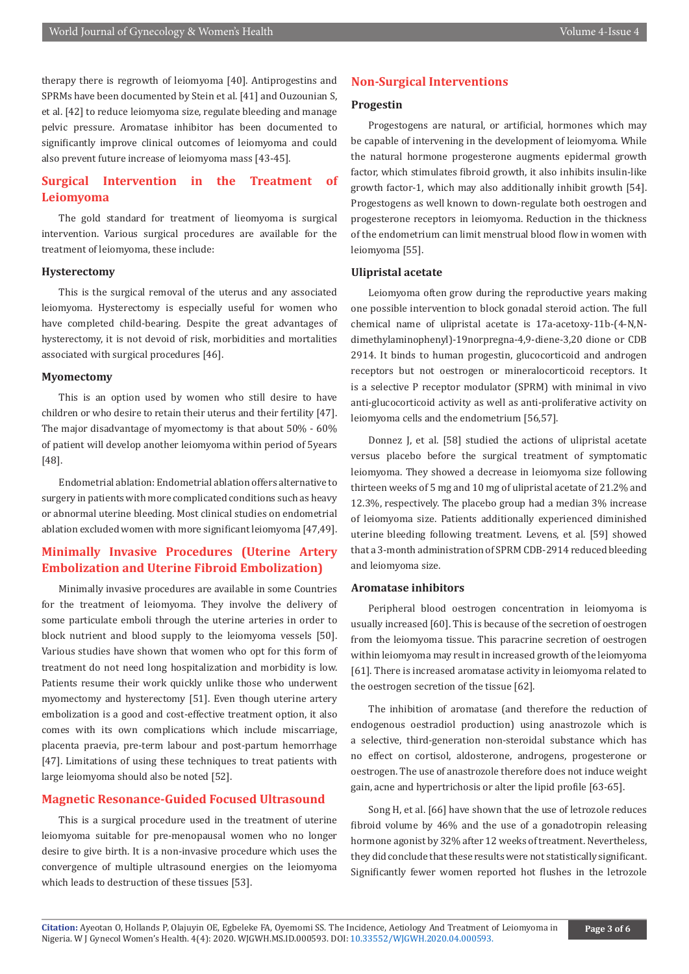therapy there is regrowth of leiomyoma [40]. Antiprogestins and SPRMs have been documented by Stein et al. [41] and Ouzounian S, et al. [42] to reduce leiomyoma size, regulate bleeding and manage pelvic pressure. Aromatase inhibitor has been documented to significantly improve clinical outcomes of leiomyoma and could also prevent future increase of leiomyoma mass [43-45].

# **Surgical Intervention in the Treatment of Leiomyoma**

The gold standard for treatment of lieomyoma is surgical intervention. Various surgical procedures are available for the treatment of leiomyoma, these include:

#### **Hysterectomy**

This is the surgical removal of the uterus and any associated leiomyoma. Hysterectomy is especially useful for women who have completed child-bearing. Despite the great advantages of hysterectomy, it is not devoid of risk, morbidities and mortalities associated with surgical procedures [46].

#### **Myomectomy**

This is an option used by women who still desire to have children or who desire to retain their uterus and their fertility [47]. The major disadvantage of myomectomy is that about 50% - 60% of patient will develop another leiomyoma within period of 5years [48].

Endometrial ablation: Endometrial ablation offers alternative to surgery in patients with more complicated conditions such as heavy or abnormal uterine bleeding. Most clinical studies on endometrial ablation excluded women with more significant leiomyoma [47,49].

# **Minimally Invasive Procedures (Uterine Artery Embolization and Uterine Fibroid Embolization)**

Minimally invasive procedures are available in some Countries for the treatment of leiomyoma. They involve the delivery of some particulate emboli through the uterine arteries in order to block nutrient and blood supply to the leiomyoma vessels [50]. Various studies have shown that women who opt for this form of treatment do not need long hospitalization and morbidity is low. Patients resume their work quickly unlike those who underwent myomectomy and hysterectomy [51]. Even though uterine artery embolization is a good and cost-effective treatment option, it also comes with its own complications which include miscarriage, placenta praevia, pre-term labour and post-partum hemorrhage [47]. Limitations of using these techniques to treat patients with large leiomyoma should also be noted [52].

#### **Magnetic Resonance-Guided Focused Ultrasound**

This is a surgical procedure used in the treatment of uterine leiomyoma suitable for pre-menopausal women who no longer desire to give birth. It is a non-invasive procedure which uses the convergence of multiple ultrasound energies on the leiomyoma which leads to destruction of these tissues [53].

#### **Non-Surgical Interventions**

#### **Progestin**

Progestogens are natural, or artificial, hormones which may be capable of intervening in the development of leiomyoma. While the natural hormone progesterone augments epidermal growth factor, which stimulates fibroid growth, it also inhibits insulin-like growth factor-1, which may also additionally inhibit growth [54]. Progestogens as well known to down-regulate both oestrogen and progesterone receptors in leiomyoma. Reduction in the thickness of the endometrium can limit menstrual blood flow in women with leiomyoma [55].

#### **Ulipristal acetate**

Leiomyoma often grow during the reproductive years making one possible intervention to block gonadal steroid action. The full chemical name of ulipristal acetate is 17a-acetoxy-11b-(4-N,Ndimethylaminophenyl)-19norpregna-4,9-diene-3,20 dione or CDB 2914. It binds to human progestin, glucocorticoid and androgen receptors but not oestrogen or mineralocorticoid receptors. It is a selective P receptor modulator (SPRM) with minimal in vivo anti-glucocorticoid activity as well as anti-proliferative activity on leiomyoma cells and the endometrium [56,57].

Donnez J, et al. [58] studied the actions of ulipristal acetate versus placebo before the surgical treatment of symptomatic leiomyoma. They showed a decrease in leiomyoma size following thirteen weeks of 5 mg and 10 mg of ulipristal acetate of 21.2% and 12.3%, respectively. The placebo group had a median 3% increase of leiomyoma size. Patients additionally experienced diminished uterine bleeding following treatment. Levens, et al. [59] showed that a 3-month administration of SPRM CDB-2914 reduced bleeding and leiomyoma size.

#### **Aromatase inhibitors**

Peripheral blood oestrogen concentration in leiomyoma is usually increased [60]. This is because of the secretion of oestrogen from the leiomyoma tissue. This paracrine secretion of oestrogen within leiomyoma may result in increased growth of the leiomyoma [61]. There is increased aromatase activity in leiomyoma related to the oestrogen secretion of the tissue [62].

The inhibition of aromatase (and therefore the reduction of endogenous oestradiol production) using anastrozole which is a selective, third-generation non-steroidal substance which has no effect on cortisol, aldosterone, androgens, progesterone or oestrogen. The use of anastrozole therefore does not induce weight gain, acne and hypertrichosis or alter the lipid profile [63-65].

Song H, et al. [66] have shown that the use of letrozole reduces fibroid volume by 46% and the use of a gonadotropin releasing hormone agonist by 32% after 12 weeks of treatment. Nevertheless, they did conclude that these results were not statistically significant. Significantly fewer women reported hot flushes in the letrozole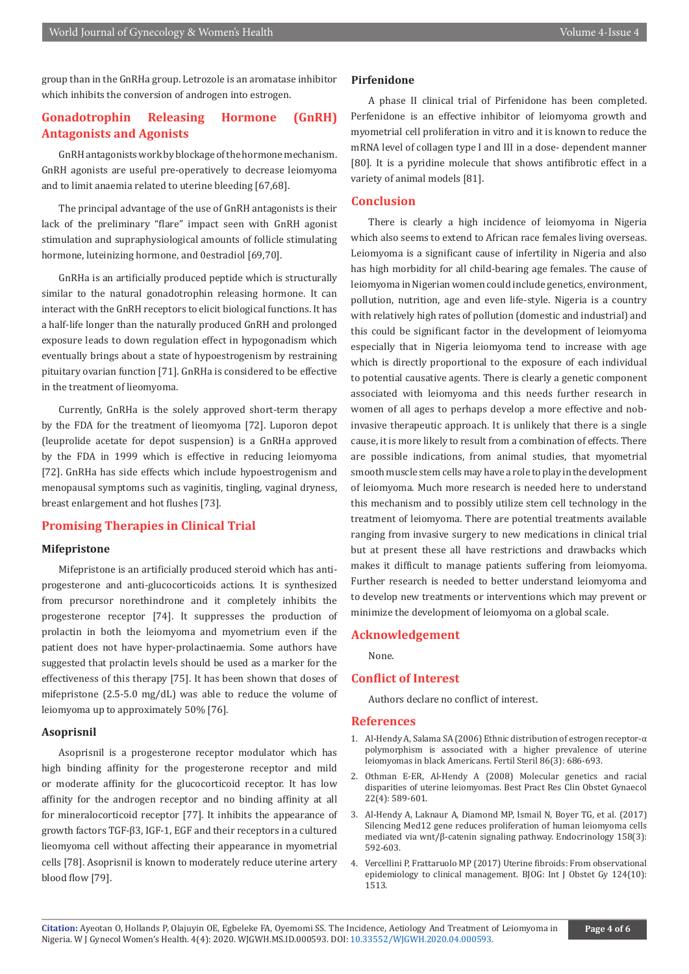group than in the GnRHa group. Letrozole is an aromatase inhibitor which inhibits the conversion of androgen into estrogen.

# **Gonadotrophin Releasing Hormone (GnRH) Antagonists and Agonists**

GnRH antagonists work by blockage of the hormone mechanism. GnRH agonists are useful pre-operatively to decrease leiomyoma and to limit anaemia related to uterine bleeding [67,68].

The principal advantage of the use of GnRH antagonists is their lack of the preliminary "flare" impact seen with GnRH agonist stimulation and supraphysiological amounts of follicle stimulating hormone, luteinizing hormone, and 0estradiol [69,70].

GnRHa is an artificially produced peptide which is structurally similar to the natural gonadotrophin releasing hormone. It can interact with the GnRH receptors to elicit biological functions. It has a half-life longer than the naturally produced GnRH and prolonged exposure leads to down regulation effect in hypogonadism which eventually brings about a state of hypoestrogenism by restraining pituitary ovarian function [71]. GnRHa is considered to be effective in the treatment of lieomyoma.

Currently, GnRHa is the solely approved short-term therapy by the FDA for the treatment of lieomyoma [72]. Luporon depot (leuprolide acetate for depot suspension) is a GnRHa approved by the FDA in 1999 which is effective in reducing leiomyoma [72]. GnRHa has side effects which include hypoestrogenism and menopausal symptoms such as vaginitis, tingling, vaginal dryness, breast enlargement and hot flushes [73].

# **Promising Therapies in Clinical Trial**

### **Mifepristone**

Mifepristone is an artificially produced steroid which has antiprogesterone and anti-glucocorticoids actions. It is synthesized from precursor norethindrone and it completely inhibits the progesterone receptor [74]. It suppresses the production of prolactin in both the leiomyoma and myometrium even if the patient does not have hyper-prolactinaemia. Some authors have suggested that prolactin levels should be used as a marker for the effectiveness of this therapy [75]. It has been shown that doses of mifepristone (2.5-5.0 mg/dL) was able to reduce the volume of leiomyoma up to approximately 50% [76].

#### **Asoprisnil**

Asoprisnil is a progesterone receptor modulator which has high binding affinity for the progesterone receptor and mild or moderate affinity for the glucocorticoid receptor. It has low affinity for the androgen receptor and no binding affinity at all for mineralocorticoid receptor [77]. It inhibits the appearance of growth factors TGF-β3, IGF-1, EGF and their receptors in a cultured lieomyoma cell without affecting their appearance in myometrial cells [78]. Asoprisnil is known to moderately reduce uterine artery blood flow [79].

#### **Pirfenidone**

A phase II clinical trial of Pirfenidone has been completed. Perfenidone is an effective inhibitor of leiomyoma growth and myometrial cell proliferation in vitro and it is known to reduce the mRNA level of collagen type I and III in a dose- dependent manner [80]. It is a pyridine molecule that shows antifibrotic effect in a variety of animal models [81].

#### **Conclusion**

There is clearly a high incidence of leiomyoma in Nigeria which also seems to extend to African race females living overseas. Leiomyoma is a significant cause of infertility in Nigeria and also has high morbidity for all child-bearing age females. The cause of leiomyoma in Nigerian women could include genetics, environment, pollution, nutrition, age and even life-style. Nigeria is a country with relatively high rates of pollution (domestic and industrial) and this could be significant factor in the development of leiomyoma especially that in Nigeria leiomyoma tend to increase with age which is directly proportional to the exposure of each individual to potential causative agents. There is clearly a genetic component associated with leiomyoma and this needs further research in women of all ages to perhaps develop a more effective and nobinvasive therapeutic approach. It is unlikely that there is a single cause, it is more likely to result from a combination of effects. There are possible indications, from animal studies, that myometrial smooth muscle stem cells may have a role to play in the development of leiomyoma. Much more research is needed here to understand this mechanism and to possibly utilize stem cell technology in the treatment of leiomyoma. There are potential treatments available ranging from invasive surgery to new medications in clinical trial but at present these all have restrictions and drawbacks which makes it difficult to manage patients suffering from leiomyoma. Further research is needed to better understand leiomyoma and to develop new treatments or interventions which may prevent or minimize the development of leiomyoma on a global scale.

#### **Acknowledgement**

None.

#### **Conflict of Interest**

Authors declare no conflict of interest.

#### **References**

- 1. [Al-Hendy A, Salama SA \(2006\) Ethnic distribution of estrogen receptor-α](https://pubmed.ncbi.nlm.nih.gov/16860797/) [polymorphism is associated with a higher prevalence of uterine](https://pubmed.ncbi.nlm.nih.gov/16860797/) [leiomyomas in black Americans. Fertil Steril 86\(3\): 686-693.](https://pubmed.ncbi.nlm.nih.gov/16860797/)
- 2. [Othman E-ER, Al-Hendy A \(2008\) Molecular genetics and racial](https://pubmed.ncbi.nlm.nih.gov/18373954/) [disparities of uterine leiomyomas. Best Pract Res Clin Obstet Gynaecol](https://pubmed.ncbi.nlm.nih.gov/18373954/) [22\(4\): 589-601.](https://pubmed.ncbi.nlm.nih.gov/18373954/)
- 3. [Al-Hendy A, Laknaur A, Diamond MP, Ismail N, Boyer TG, et al. \(2017\)](https://pubmed.ncbi.nlm.nih.gov/27967206/) [Silencing Med12 gene reduces proliferation of human leiomyoma cells](https://pubmed.ncbi.nlm.nih.gov/27967206/) [mediated via wnt/β-catenin signaling pathway. Endocrinology 158\(3\):](https://pubmed.ncbi.nlm.nih.gov/27967206/) [592-603.](https://pubmed.ncbi.nlm.nih.gov/27967206/)
- 4. [Vercellini P, Frattaruolo MP \(2017\) Uterine fibroids: From observational](https://pubmed.ncbi.nlm.nih.gov/28498567/) [epidemiology to clinical management. BJOG: Int J Obstet Gy 124\(10\):](https://pubmed.ncbi.nlm.nih.gov/28498567/) [1513.](https://pubmed.ncbi.nlm.nih.gov/28498567/)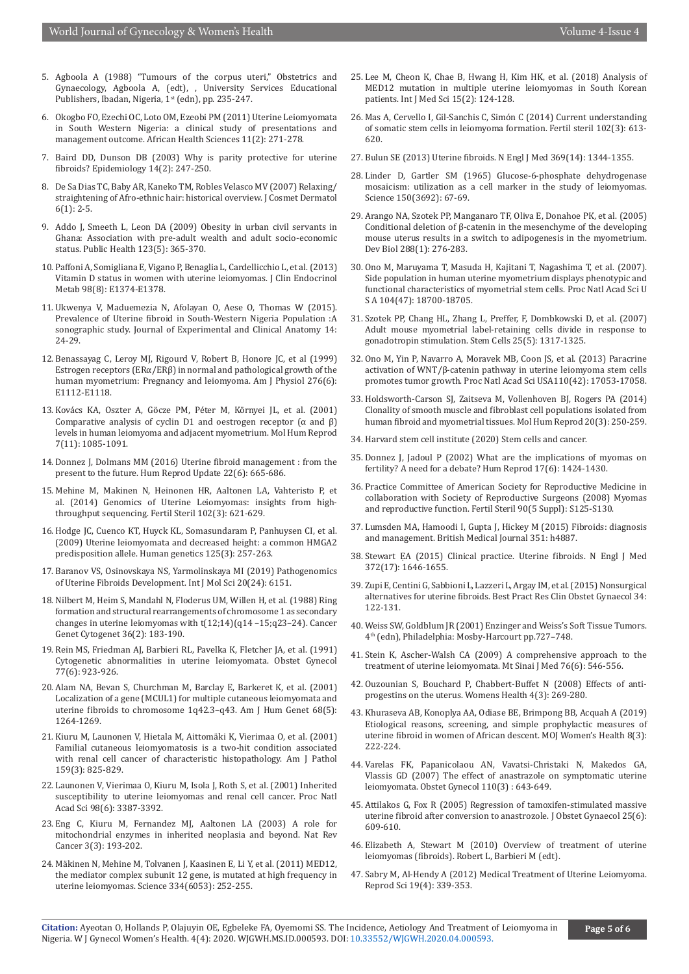- 5. Agboola A (1988) "Tumours of the corpus uteri," Obstetrics and Gynaecology, Agboola A, (edt), , University Services Educational Publishers, Ibadan, Nigeria, 1<sup>st</sup> (edn), pp. 235-247.
- 6. [Okogbo FO, Ezechi OC, Loto OM, Ezeobi PM \(2011\) Uterine Leiomyomata](https://pubmed.ncbi.nlm.nih.gov/21857861/)  [in South Western Nigeria: a clinical study of presentations and](https://pubmed.ncbi.nlm.nih.gov/21857861/)  [management outcome. African Health Sciences 11\(2\): 271-278.](https://pubmed.ncbi.nlm.nih.gov/21857861/)
- 7. [Baird DD, Dunson DB \(2003\) Why is parity protective for uterine](https://pubmed.ncbi.nlm.nih.gov/12606893/)  [fibroids? Epidemiology 14\(2\): 247-250.](https://pubmed.ncbi.nlm.nih.gov/12606893/)
- 8. [De Sa Dias TC, Baby AR, Kaneko TM, Robles Velasco MV \(2007\) Relaxing/](https://pubmed.ncbi.nlm.nih.gov/17348987/) [straightening of Afro-ethnic hair: historical overview. J Cosmet Dermatol](https://pubmed.ncbi.nlm.nih.gov/17348987/)  [6\(1\): 2-5.](https://pubmed.ncbi.nlm.nih.gov/17348987/)
- 9. [Addo J, Smeeth L, Leon DA \(2009\) Obesity in urban civil servants in](https://pubmed.ncbi.nlm.nih.gov/19362725/)  [Ghana: Association with pre-adult wealth and adult socio-economic](https://pubmed.ncbi.nlm.nih.gov/19362725/)  [status. Public Health 123\(5\): 365-370.](https://pubmed.ncbi.nlm.nih.gov/19362725/)
- 10. [Paffoni A, Somigliana E, Vigano P, Benaglia L, Cardellicchio L, et al. \(2013\)](https://pubmed.ncbi.nlm.nih.gov/23824422/)  [Vitamin D status in women with uterine leiomyomas. J Clin Endocrinol](https://pubmed.ncbi.nlm.nih.gov/23824422/)  [Metab 98\(8\): E1374-E1378.](https://pubmed.ncbi.nlm.nih.gov/23824422/)
- 11. Ukwenya V, Maduemezia N, Afolayan O, Aese O, Thomas W (2015). Prevalence of Uterine fibroid in South-Western Nigeria Population :A sonographic study. Journal of Experimental and Clinical Anatomy 14: 24-29.
- 12. [Benassayag C, Leroy MJ, Rigourd V, Robert B, Honore JC, et al \(1999\)](https://pubmed.ncbi.nlm.nih.gov/10362625/)  [Estrogen receptors \(ERα/ERβ\) in normal and pathological growth of the](https://pubmed.ncbi.nlm.nih.gov/10362625/)  [human myometrium: Pregnancy and leiomyoma. Am J Physiol 276\(6\):](https://pubmed.ncbi.nlm.nih.gov/10362625/)  [E1112‑E1118.](https://pubmed.ncbi.nlm.nih.gov/10362625/)
- 13. [Kovács KA, Oszter A, Göcze PM, Péter M, Környei JL, et al. \(2001\)](https://pubmed.ncbi.nlm.nih.gov/11675476/)  Comparative analysis of cyclin D1 and oestrogen receptor  $(\alpha$  and  $\beta)$ [levels in human leiomyoma and adjacent myometrium. Mol Hum Reprod](https://pubmed.ncbi.nlm.nih.gov/11675476/)  [7\(11\): 1085-1091.](https://pubmed.ncbi.nlm.nih.gov/11675476/)
- 14. [Donnez J, Dolmans MM \(2016\) Uterine fibroid management : from the](https://pubmed.ncbi.nlm.nih.gov/27466209/)  [present to the future. Hum Reprod Update 22\(6\): 665-686.](https://pubmed.ncbi.nlm.nih.gov/27466209/)
- 15. [Mehine M, Makinen N, Heinonen HR, Aaltonen LA, Vahteristo P, et](https://pubmed.ncbi.nlm.nih.gov/25106763/)  [al. \(2014\) Genomics of Uterine Leiomyomas: insights from high](https://pubmed.ncbi.nlm.nih.gov/25106763/)[throughput sequencing. Fertil Steril 102\(3\): 621-629.](https://pubmed.ncbi.nlm.nih.gov/25106763/)
- 16. [Hodge JC, Cuenco KT, Huyck KL, Somasundaram P, Panhuysen CI, et al.](https://pubmed.ncbi.nlm.nih.gov/19132395/)  [\(2009\) Uterine leiomyomata and decreased height: a common HMGA2](https://pubmed.ncbi.nlm.nih.gov/19132395/)  [predisposition allele. Human genetics 125\(3\): 257-263.](https://pubmed.ncbi.nlm.nih.gov/19132395/)
- 17. [Baranov VS, Osinovskaya NS, Yarmolinskaya MI \(2019\) Pathogenomics](https://pubmed.ncbi.nlm.nih.gov/31817606/)  [of Uterine Fibroids Development. Int J Mol Sci 20\(24\): 6151.](https://pubmed.ncbi.nlm.nih.gov/31817606/)
- 18. [Nilbert M, Heim S, Mandahl N, Floderus UM, Willen H, et al. \(1988\) Ring](https://www.sciencedirect.com/science/article/abs/pii/0165460888901434)  [formation and structural rearrangements of chromosome 1 as secondary](https://www.sciencedirect.com/science/article/abs/pii/0165460888901434)  [changes in uterine leiomyomas with t\(12;14\)\(q14 –15;q23–24\). Cancer](https://www.sciencedirect.com/science/article/abs/pii/0165460888901434)  [Genet Cytogenet 36\(2\): 183-190.](https://www.sciencedirect.com/science/article/abs/pii/0165460888901434)
- 19. [Rein MS, Friedman AJ, Barbieri RL, Pavelka K, Fletcher JA, et al. \(1991\)](https://pubmed.ncbi.nlm.nih.gov/2030869/)  [Cytogenetic abnormalities in uterine leiomyomata. Obstet Gynecol](https://pubmed.ncbi.nlm.nih.gov/2030869/)  [77\(6\): 923-926.](https://pubmed.ncbi.nlm.nih.gov/2030869/)
- 20. [Alam NA, Bevan S, Churchman M, Barclay E, Barkeret K, et al. \(2001\)](https://pubmed.ncbi.nlm.nih.gov/11283798/)  [Localization of a gene \(MCUL1\) for multiple cutaneous leiomyomata and](https://pubmed.ncbi.nlm.nih.gov/11283798/)  [uterine fibroids to chromosome 1q42.3–q43. Am J Hum Genet 68\(5\):](https://pubmed.ncbi.nlm.nih.gov/11283798/)  [1264-1269.](https://pubmed.ncbi.nlm.nih.gov/11283798/)
- 21. [Kiuru M, Launonen V, Hietala M, Aittomäki K, Vierimaa O, et al. \(2001\)](https://pubmed.ncbi.nlm.nih.gov/11549574/)  [Familial cutaneous leiomyomatosis is a two-hit condition associated](https://pubmed.ncbi.nlm.nih.gov/11549574/)  [with renal cell cancer of characteristic histopathology. Am J Pathol](https://pubmed.ncbi.nlm.nih.gov/11549574/)  [159\(3\): 825-829.](https://pubmed.ncbi.nlm.nih.gov/11549574/)
- 22. [Launonen V, Vierimaa O, Kiuru M, Isola J, Roth S, et al. \(2001\) Inherited](https://pubmed.ncbi.nlm.nih.gov/11248088/)  [susceptibility to uterine leiomyomas and renal cell cancer. Proc Natl](https://pubmed.ncbi.nlm.nih.gov/11248088/)  [Acad Sci 98\(6\): 3387-3392.](https://pubmed.ncbi.nlm.nih.gov/11248088/)
- 23. [Eng C, Kiuru M, Fernandez MJ, Aaltonen LA \(2003\) A role for](https://pubmed.ncbi.nlm.nih.gov/12612654/)  [mitochondrial enzymes in inherited neoplasia and beyond. Nat Rev](https://pubmed.ncbi.nlm.nih.gov/12612654/)  [Cancer 3\(3\): 193-202.](https://pubmed.ncbi.nlm.nih.gov/12612654/)
- 24. [Mäkinen N, Mehine M, Tolvanen J, Kaasinen E, Li Y, et al. \(2011\) MED12,](https://pubmed.ncbi.nlm.nih.gov/21868628/)  [the mediator complex subunit 12 gene, is mutated at high frequency in](https://pubmed.ncbi.nlm.nih.gov/21868628/)  [uterine leiomyomas. Science 334\(6053\): 252-255.](https://pubmed.ncbi.nlm.nih.gov/21868628/)
- 25. [Lee M, Cheon K, Chae B, Hwang H, Kim HK, et al. \(2018\) Analysis of](https://pubmed.ncbi.nlm.nih.gov/29333096/) [MED12 mutation in multiple uterine leiomyomas in South Korean](https://pubmed.ncbi.nlm.nih.gov/29333096/) [patients. Int J Med Sci 15\(2\): 124-128.](https://pubmed.ncbi.nlm.nih.gov/29333096/)
- 26. [Mas A, Cervello I, Gil-Sanchis C, Simón C \(2014\) Current understanding](https://pubmed.ncbi.nlm.nih.gov/24890270/) [of somatic stem cells in leiomyoma formation. Fertil steril 102\(3\): 613-](https://pubmed.ncbi.nlm.nih.gov/24890270/) [620.](https://pubmed.ncbi.nlm.nih.gov/24890270/)
- 27. [Bulun SE \(2013\) Uterine fibroids. N Engl J Med 369\(14\): 1344-1355.](https://pubmed.ncbi.nlm.nih.gov/24088094/)
- 28. [Linder D, Gartler SM \(1965\) Glucose-6-phosphate dehydrogenase](https://pubmed.ncbi.nlm.nih.gov/5833538/) [mosaicism: utilization as a cell marker in the study of leiomyomas.](https://pubmed.ncbi.nlm.nih.gov/5833538/) [Science 150\(3692\): 67-69.](https://pubmed.ncbi.nlm.nih.gov/5833538/)
- 29. [Arango NA, Szotek PP, Manganaro TF, Oliva E, Donahoe PK, et al. \(2005\)](https://pubmed.ncbi.nlm.nih.gov/16256976/) [Conditional deletion of β-catenin in the mesenchyme of the developing](https://pubmed.ncbi.nlm.nih.gov/16256976/) [mouse uterus results in a switch to adipogenesis in the myometrium.](https://pubmed.ncbi.nlm.nih.gov/16256976/) [Dev Biol 288\(1\): 276-283.](https://pubmed.ncbi.nlm.nih.gov/16256976/)
- 30. [Ono M, Maruyama T, Masuda H, Kajitani T, Nagashima T, et al. \(2007\).](https://pubmed.ncbi.nlm.nih.gov/18003928/) [Side population in human uterine myometrium displays phenotypic and](https://pubmed.ncbi.nlm.nih.gov/18003928/) [functional characteristics of myometrial stem cells. Proc Natl Acad Sci U](https://pubmed.ncbi.nlm.nih.gov/18003928/) [S A 104\(47\): 18700-18705.](https://pubmed.ncbi.nlm.nih.gov/18003928/)
- 31. [Szotek PP, Chang HL, Zhang L, Preffer, F, Dombkowski D, et al. \(2007\)](https://pubmed.ncbi.nlm.nih.gov/17289934/) [Adult mouse myometrial label‐retaining cells divide in response to](https://pubmed.ncbi.nlm.nih.gov/17289934/) [gonadotropin stimulation. Stem Cells 25\(5\): 1317-1325.](https://pubmed.ncbi.nlm.nih.gov/17289934/)
- 32. [Ono M, Yin P, Navarro A, Moravek MB, Coon JS, et al. \(2013\) Paracrine](https://pubmed.ncbi.nlm.nih.gov/24082114/) [activation of WNT/β-catenin pathway in uterine leiomyoma stem cells](https://pubmed.ncbi.nlm.nih.gov/24082114/) [promotes tumor growth. Proc Natl Acad Sci USA110\(42\): 17053-17058.](https://pubmed.ncbi.nlm.nih.gov/24082114/)
- 33. [Holdsworth-Carson SJ, Zaitseva M, Vollenhoven BJ, Rogers PA \(2014\)](https://pubmed.ncbi.nlm.nih.gov/24243625/) [Clonality of smooth muscle and fibroblast cell populations isolated from](https://pubmed.ncbi.nlm.nih.gov/24243625/) [human fibroid and myometrial tissues. Mol Hum Reprod 20\(3\): 250-259.](https://pubmed.ncbi.nlm.nih.gov/24243625/)
- 34. Harvard stem cell institute (2020) Stem cells and cancer.
- 35. [Donnez J, Jadoul P \(2002\) What are the implications of myomas on](https://pubmed.ncbi.nlm.nih.gov/12042254/) [fertility? A need for a debate? Hum Reprod 17\(6\): 1424-1430.](https://pubmed.ncbi.nlm.nih.gov/12042254/)
- 36. [Practice Committee of American Society for Reproductive Medicine in](https://pubmed.ncbi.nlm.nih.gov/19007608/) [collaboration with Society of Reproductive Surgeons \(2008\) Myomas](https://pubmed.ncbi.nlm.nih.gov/19007608/) [and reproductive function. Fertil Steril 90\(5 Suppl\): S125-S130.](https://pubmed.ncbi.nlm.nih.gov/19007608/)
- 37. Lumsden MA, Hamoodi I, Gupta J, Hickey M (2015) Fibroids: diagnosis and management. British Medical Journal 351: h4887.
- 38. [Stewart ẸA \(2015\) Clinical practice. Uterine fibroids. N Engl J Med](https://pubmed.ncbi.nlm.nih.gov/25901428/) [372\(17\): 1646-1655.](https://pubmed.ncbi.nlm.nih.gov/25901428/)
- 39. [Zupi E, Centini G, Sabbioni L, Lazzeri L, Argay IM, et al. \(2015\) Nonsurgical](https://pubmed.ncbi.nlm.nih.gov/26711881/) [alternatives for uterine fibroids. Best Pract Res Clin Obstet Gynaecol 34:](https://pubmed.ncbi.nlm.nih.gov/26711881/) [122-131.](https://pubmed.ncbi.nlm.nih.gov/26711881/)
- 40. Weiss SW, Goldblum JR (2001) Enzinger and Weiss's Soft Tissue Tumors. 4th (edn), Philadelphia: Mosby-Harcourt pp.727–748.
- 41. [Stein K, Ascher-Walsh CA \(2009\) A comprehensive approach to the](https://pubmed.ncbi.nlm.nih.gov/20014416/) [treatment of uterine leiomyomata. Mt Sinai J Med 76\(6\): 546-556.](https://pubmed.ncbi.nlm.nih.gov/20014416/)
- 42. [Ouzounian S, Bouchard P, Chabbert-Buffet N \(2008\) Effects of anti](https://pubmed.ncbi.nlm.nih.gov/19072476/)[progestins on the uterus. Womens Health 4\(3\): 269-280.](https://pubmed.ncbi.nlm.nih.gov/19072476/)
- 43. Khuraseva AB, Konoplya AA, Odiase BE, Brimpong BB, Acquah A (2019) Etiological reasons, screening, and simple prophylactic measures of uterine fibroid in women of African descent. MOJ Women's Health 8(3): 222-224.
- 44. [Varelas FK, Papanicolaou AN, Vavatsi-Christaki N, Makedos GA,](https://pubmed.ncbi.nlm.nih.gov/17766612/) [Vlassis GD \(2007\) The effect of anastrazole on symptomatic uterine](https://pubmed.ncbi.nlm.nih.gov/17766612/) [leiomyomata. Obstet Gynecol 110\(3\) : 643-649.](https://pubmed.ncbi.nlm.nih.gov/17766612/)
- 45. [Attilakos G, Fox R \(2005\) Regression of tamoxifen-stimulated massive](https://pubmed.ncbi.nlm.nih.gov/16234156/) [uterine fibroid after conversion to anastrozole. J Obstet Gynaecol 25\(6\):](https://pubmed.ncbi.nlm.nih.gov/16234156/) [609-610.](https://pubmed.ncbi.nlm.nih.gov/16234156/)
- 46. Elizabeth A, Stewart M (2010) Overview of treatment of uterine leiomyomas (fibroids). Robert L, Barbieri M (edt).
- 47. [Sabry M, Al-Hendy A \(2012\) Medical Treatment of Uterine Leiomyoma.](https://pubmed.ncbi.nlm.nih.gov/22378865/) [Reprod Sci 19\(4\): 339-353.](https://pubmed.ncbi.nlm.nih.gov/22378865/)